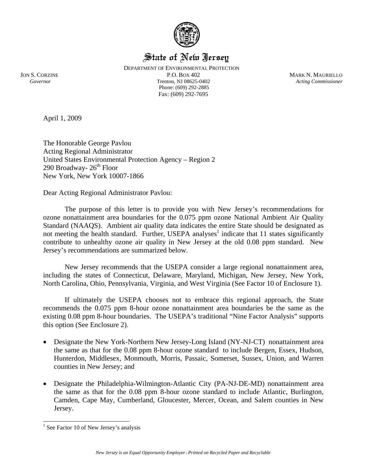

# State of New Jersey

Fax: (609) 292-7695 DEPARTMENT OF ENVIRONMENTAL PROTECTION JON S. CORZINE P.O. BOX 402 MARK N. MAURIELLO  *Governor* Trenton, NJ 08625-0402 *Acting Commissioner* Phone: (609) 292-2885

April 1, 2009

The Honorable George Pavlou Acting Regional Administrator United States Environmental Protection Agency – Region 2 290 Broadway-  $26<sup>th</sup>$  Floor New York, New York 10007-1866

Dear Acting Regional Administrator Pavlou:

The purpose of this letter is to provide you with New Jersey's recommendations for ozone nonattainment area boundaries for the 0.075 ppm ozone National Ambient Air Quality Standard (NAAQS). Ambient air quality data indicates the entire State should be designated as not meeting the health standard. Further, USEPA analyses<sup>1</sup> indicate that 11 states significantly contribute to unhealthy ozone air quality in New Jersey at the old 0.08 ppm standard. New Jersey's recommendations are summarized below.

New Jersey recommends that the USEPA consider a large regional nonattainment area, including the states of Connecticut, Delaware, Maryland, Michigan, New Jersey, New York, North Carolina, Ohio, Pennsylvania, Virginia, and West Virginia (See Factor 10 of Enclosure 1).

 If ultimately the USEPA chooses not to embrace this regional approach, the State recommends the 0.075 ppm 8-hour ozone nonattainment area boundaries be the same as the existing 0.08 ppm 8-hour boundaries. The USEPA's traditional "Nine Factor Analysis" supports this option (See Enclosure 2).

- Designate the New York-Northern New Jersey-Long Island (NY-NJ-CT) nonattainment area the same as that for the 0.08 ppm 8-hour ozone standard to include Bergen, Essex, Hudson, Hunterdon, Middlesex, Monmouth, Morris, Passaic, Somerset, Sussex, Union, and Warren counties in New Jersey; and
- Designate the Philadelphia-Wilmington-Atlantic City (PA-NJ-DE-MD) nonattainment area the same as that for the 0.08 ppm 8-hour ozone standard to include Atlantic, Burlington, Camden, Cape May, Cumberland, Gloucester, Mercer, Ocean, and Salem counties in New Jersey.

 $\overline{a}$ <sup>1</sup> See Factor 10 of New Jersey's analysis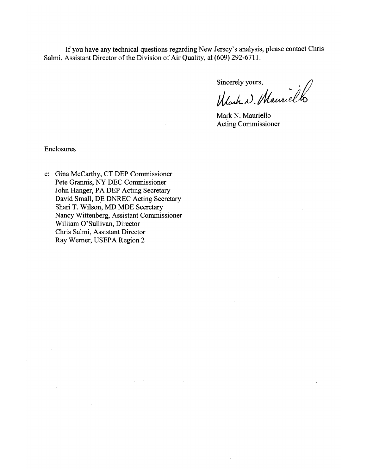If you have any technical questions regarding New Jersey's analysis, please contact Chris Salmi, Assistant Director of the Division of Air Quality, at (609) 292-6711.

Sincerely yours,

Mark N. Mauriello

Mark N. Mauriello **Acting Commissioner** 

Enclosures

c: Gina McCarthy, CT DEP Commissioner Pete Grannis, NY DEC Commissioner John Hanger, PA DEP Acting Secretary David Small, DE DNREC Acting Secretary Shari T. Wilson, MD MDE Secretary Nancy Wittenberg, Assistant Commissioner William O'Sullivan, Director Chris Salmi, Assistant Director Ray Werner, USEPA Region 2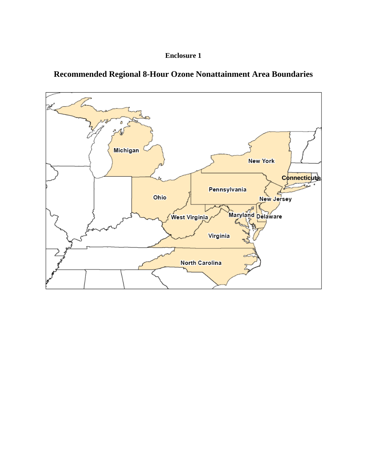



**Recommended Regional 8-Hour Ozone Nonattainment Area Boundaries**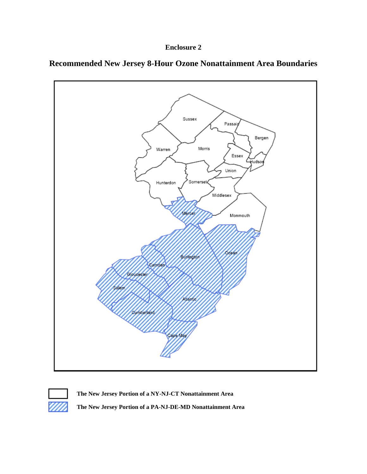







**The New Jersey Portion of a NY-NJ-CT Nonattainment Area**

**The New Jersey Portion of a PA-NJ-DE-MD Nonattainment Area**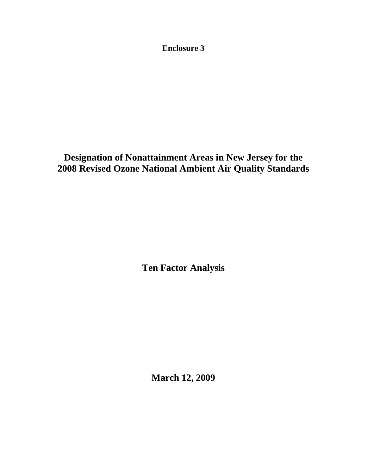**Enclosure 3** 

**Designation of Nonattainment Areas in New Jersey for the 2008 Revised Ozone National Ambient Air Quality Standards** 

**Ten Factor Analysis** 

**March 12, 2009**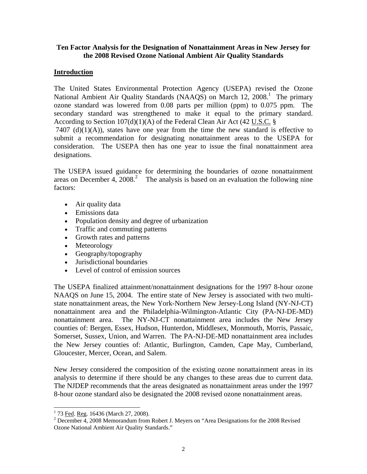### **Ten Factor Analysis for the Designation of Nonattainment Areas in New Jersey for the 2008 Revised Ozone National Ambient Air Quality Standards**

### **Introduction**

The United States Environmental Protection Agency (USEPA) revised the Ozone National Ambient Air Quality Standards (NAAQS) on March 12, 2008.<sup>1</sup> The primary ozone standard was lowered from 0.08 parts per million (ppm) to 0.075 ppm. The secondary standard was strengthened to make it equal to the primary standard. According to Section 107(d)(1)(A) of the Federal Clean Air Act (42 U.S.C. §

7407 (d) $(1)(A)$ , states have one year from the time the new standard is effective to submit a recommendation for designating nonattainment areas to the USEPA for consideration. The USEPA then has one year to issue the final nonattainment area designations.

The USEPA issued guidance for determining the boundaries of ozone nonattainment areas on December 4, 2008.<sup>2</sup> The analysis is based on an evaluation the following nine factors:

- Air quality data
- Emissions data
- Population density and degree of urbanization
- Traffic and commuting patterns
- Growth rates and patterns
- Meteorology
- Geography/topography
- Jurisdictional boundaries
- Level of control of emission sources

The USEPA finalized attainment/nonattainment designations for the 1997 8-hour ozone NAAQS on June 15, 2004. The entire state of New Jersey is associated with two multistate nonattainment areas, the New York-Northern New Jersey-Long Island (NY-NJ-CT) nonattainment area and the Philadelphia-Wilmington-Atlantic City (PA-NJ-DE-MD) nonattainment area. The NY-NJ-CT nonattainment area includes the New Jersey counties of: Bergen, Essex, Hudson, Hunterdon, Middlesex, Monmouth, Morris, Passaic, Somerset, Sussex, Union, and Warren. The PA-NJ-DE-MD nonattainment area includes the New Jersey counties of: Atlantic, Burlington, Camden, Cape May, Cumberland, Gloucester, Mercer, Ocean, and Salem.

New Jersey considered the composition of the existing ozone nonattainment areas in its analysis to determine if there should be any changes to these areas due to current data. The NJDEP recommends that the areas designated as nonattainment areas under the 1997 8-hour ozone standard also be designated the 2008 revised ozone nonattainment areas.

<sup>&</sup>lt;sup>1</sup> 73 <u>Fed</u>. <u>Reg</u>. 16436 (March 27, 2008).<br><sup>2</sup> December 4, 2008 Memorandum from

<sup>&</sup>lt;sup>2</sup> December 4, 2008 Memorandum from Robert J. Meyers on "Area Designations for the 2008 Revised Ozone National Ambient Air Quality Standards."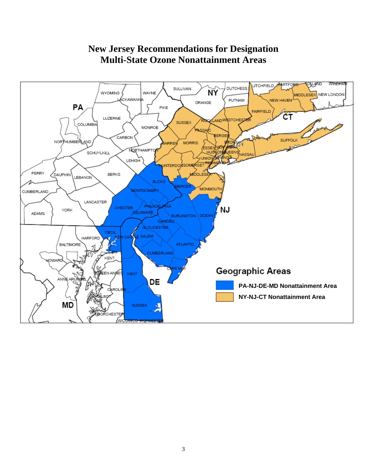

# **New Jersey Recommendations for Designation Multi-State Ozone Nonattainment Areas**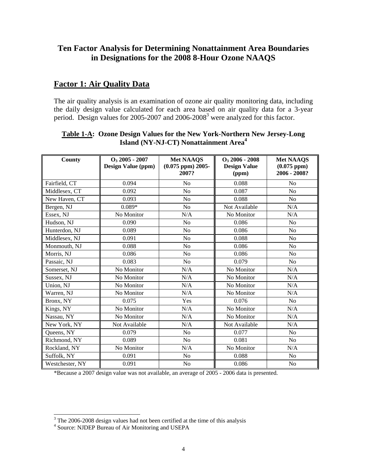# **Ten Factor Analysis for Determining Nonattainment Area Boundaries in Designations for the 2008 8-Hour Ozone NAAQS**

## **Factor 1: Air Quality Data**

The air quality analysis is an examination of ozone air quality monitoring data, including the daily design value calculated for each area based on air quality data for a 3-year period. Design values for 2005-2007 and 2006-2008<sup>3</sup> were analyzed for this factor.

| County          | $O_3$ 2005 - 2007<br><b>Design Value (ppm)</b> | <b>Met NAAQS</b><br>$(0.075$ ppm $)$ 2005-<br>2007? | $O_3$ 2006 - 2008<br><b>Design Value</b><br>(ppm) | <b>Met NAAQS</b><br>(0.075~ppm)<br>2006 - 2008? |
|-----------------|------------------------------------------------|-----------------------------------------------------|---------------------------------------------------|-------------------------------------------------|
| Fairfield, CT   | 0.094                                          | No                                                  | 0.088                                             | N <sub>0</sub>                                  |
| Middlesex, CT   | 0.092                                          | N <sub>o</sub>                                      | 0.087                                             | N <sub>0</sub>                                  |
| New Haven, CT   | 0.093                                          | N <sub>o</sub>                                      | 0.088                                             | N <sub>0</sub>                                  |
| Bergen, NJ      | $0.089*$                                       | N <sub>o</sub>                                      | Not Available                                     | N/A                                             |
| Essex, NJ       | No Monitor                                     | N/A                                                 | No Monitor                                        | N/A                                             |
| Hudson, NJ      | 0.090                                          | N <sub>o</sub>                                      | 0.086                                             | N <sub>o</sub>                                  |
| Hunterdon, NJ   | 0.089                                          | N <sub>o</sub>                                      | 0.086                                             | N <sub>o</sub>                                  |
| Middlesex, NJ   | 0.091                                          | N <sub>o</sub>                                      | 0.088                                             | No                                              |
| Monmouth, NJ    | 0.088                                          | No                                                  | 0.086                                             | N <sub>o</sub>                                  |
| Morris, NJ      | 0.086                                          | N <sub>o</sub>                                      | 0.086                                             | N <sub>o</sub>                                  |
| Passaic, NJ     | 0.083                                          | N <sub>o</sub>                                      | 0.079                                             | No                                              |
| Somerset, NJ    | No Monitor                                     | N/A                                                 | No Monitor                                        | N/A                                             |
| Sussex, NJ      | No Monitor                                     | N/A                                                 | No Monitor                                        | N/A                                             |
| Union, NJ       | No Monitor                                     | N/A                                                 | No Monitor                                        | N/A                                             |
| Warren, NJ      | No Monitor                                     | N/A                                                 | No Monitor                                        | N/A                                             |
| Bronx, NY       | 0.075                                          | Yes                                                 | 0.076                                             | N <sub>o</sub>                                  |
| Kings, NY       | No Monitor                                     | N/A                                                 | No Monitor                                        | N/A                                             |
| Nassau, NY      | No Monitor                                     | N/A                                                 | No Monitor                                        | N/A                                             |
| New York, NY    | Not Available                                  | N/A                                                 | Not Available                                     | N/A                                             |
| Queens, NY      | 0.079                                          | No                                                  | 0.077                                             | N <sub>o</sub>                                  |
| Richmond, NY    | 0.089                                          | N <sub>o</sub>                                      | 0.081                                             | N <sub>o</sub>                                  |
| Rockland, NY    | No Monitor                                     | N/A                                                 | No Monitor                                        | N/A                                             |
| Suffolk, NY     | 0.091                                          | N <sub>o</sub>                                      | 0.088                                             | N <sub>o</sub>                                  |
| Westchester, NY | 0.091                                          | No                                                  | 0.086                                             | N <sub>0</sub>                                  |

### **Table 1-A: Ozone Design Values for the New York-Northern New Jersey-Long Island (NY-NJ-CT) Nonattainment Area<sup>4</sup>**

\*Because a 2007 design value was not available, an average of 2005 - 2006 data is presented.

<sup>&</sup>lt;sup>3</sup> The 2006-2008 design values had not been certified at the time of this analysis

<sup>4</sup> Source: NJDEP Bureau of Air Monitoring and USEPA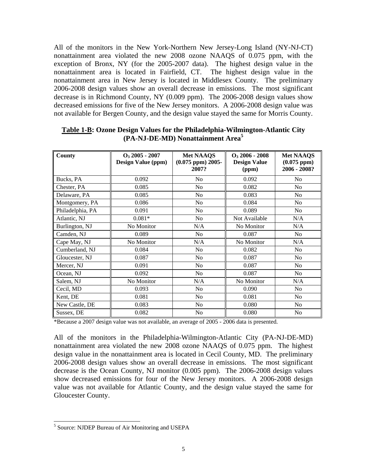All of the monitors in the New York-Northern New Jersey-Long Island (NY-NJ-CT) nonattainment area violated the new 2008 ozone NAAQS of 0.075 ppm, with the exception of Bronx, NY (for the 2005-2007 data). The highest design value in the nonattainment area is located in Fairfield, CT. The highest design value in the nonattainment area in New Jersey is located in Middlesex County. The preliminary 2006-2008 design values show an overall decrease in emissions. The most significant decrease is in Richmond County, NY (0.009 ppm). The 2006-2008 design values show decreased emissions for five of the New Jersey monitors. A 2006-2008 design value was not available for Bergen County, and the design value stayed the same for Morris County.

| County           | $O_3$ 2005 - 2007<br>Design Value (ppm) | <b>Met NAAQS</b><br>$(0.075$ ppm $)$ 2005-<br>2007? | $O_3$ 2006 - 2008<br><b>Design Value</b><br>(ppm) | <b>Met NAAQS</b><br>(0.075~ppm)<br>2006 - 2008? |
|------------------|-----------------------------------------|-----------------------------------------------------|---------------------------------------------------|-------------------------------------------------|
| Bucks, PA        | 0.092                                   | N <sub>o</sub>                                      | 0.092                                             | No.                                             |
| Chester, PA      | 0.085                                   | N <sub>o</sub>                                      | 0.082                                             | N <sub>o</sub>                                  |
| Delaware, PA     | 0.085                                   | N <sub>0</sub>                                      | 0.083                                             | N <sub>0</sub>                                  |
| Montgomery, PA   | 0.086                                   | N <sub>o</sub>                                      | 0.084                                             | N <sub>o</sub>                                  |
| Philadelphia, PA | 0.091                                   | No                                                  | 0.089                                             | No                                              |
| Atlantic, NJ     | $0.081*$                                | N <sub>o</sub>                                      | Not Available                                     | N/A                                             |
| Burlington, NJ   | No Monitor                              | N/A                                                 | No Monitor                                        | N/A                                             |
| Camden, NJ       | 0.089                                   | N <sub>o</sub>                                      | 0.087                                             | No                                              |
| Cape May, NJ     | No Monitor                              | N/A                                                 | No Monitor                                        | N/A                                             |
| Cumberland, NJ   | 0.084                                   | N <sub>0</sub>                                      | 0.082                                             | N <sub>o</sub>                                  |
| Gloucester, NJ   | 0.087                                   | N <sub>0</sub>                                      | 0.087                                             | No                                              |
| Mercer, NJ       | 0.091                                   | N <sub>o</sub>                                      | 0.087                                             | N <sub>o</sub>                                  |
| Ocean, NJ        | 0.092                                   | N <sub>o</sub>                                      | 0.087                                             | No                                              |
| Salem, NJ        | No Monitor                              | N/A                                                 | No Monitor                                        | N/A                                             |
| Cecil, MD        | 0.093                                   | N <sub>o</sub>                                      | 0.090                                             | N <sub>0</sub>                                  |
| Kent, DE         | 0.081                                   | N <sub>0</sub>                                      | 0.081                                             | No                                              |
| New Castle, DE   | 0.083                                   | N <sub>0</sub>                                      | 0.080                                             | No                                              |
| Sussex, DE       | 0.082                                   | N <sub>o</sub>                                      | 0.080                                             | N <sub>o</sub>                                  |

**Table 1-B: Ozone Design Values for the Philadelphia-Wilmington-Atlantic City (PA-NJ-DE-MD) Nonattainment Area5**

\*Because a 2007 design value was not available, an average of 2005 - 2006 data is presented.

All of the monitors in the Philadelphia-Wilmington-Atlantic City (PA-NJ-DE-MD) nonattainment area violated the new 2008 ozone NAAQS of 0.075 ppm. The highest design value in the nonattainment area is located in Cecil County, MD. The preliminary 2006-2008 design values show an overall decrease in emissions. The most significant decrease is the Ocean County, NJ monitor (0.005 ppm). The 2006-2008 design values show decreased emissions for four of the New Jersey monitors. A 2006-2008 design value was not available for Atlantic County, and the design value stayed the same for Gloucester County.

 $\overline{a}$ 

<sup>&</sup>lt;sup>5</sup> Source: NJDEP Bureau of Air Monitoring and USEPA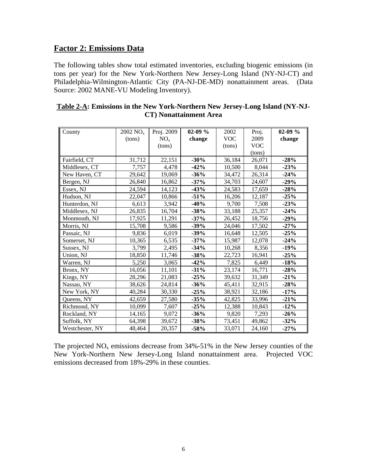## **Factor 2: Emissions Data**

The following tables show total estimated inventories, excluding biogenic emissions (in tons per year) for the New York-Northern New Jersey-Long Island (NY-NJ-CT) and Philadelphia-Wilmington-Atlantic City (PA-NJ-DE-MD) nonattainment areas. (Data Source: 2002 MANE-VU Modeling Inventory).

| County          | $2002$ NO <sub>x</sub> | Proj. 2009      | $02-09\%$ | 2002       | Proj.      | $02-09 \%$ |
|-----------------|------------------------|-----------------|-----------|------------|------------|------------|
|                 | (tons)                 | NO <sub>x</sub> | change    | <b>VOC</b> | 2009       | change     |
|                 |                        | (tons)          |           | (tons)     | <b>VOC</b> |            |
|                 |                        |                 |           |            | (tons)     |            |
| Fairfield, CT   | 31,712                 | 22,151          | $-30%$    | 36,184     | 26,071     | $-28%$     |
| Middlesex, CT   | 7,757                  | 4,478           | $-42%$    | 10,500     | 8,044      | $-23%$     |
| New Haven, CT   | 29,642                 | 19,069          | $-36%$    | 34,472     | 26,314     | $-24%$     |
| Bergen, NJ      | 26,840                 | 16,862          | $-37%$    | 34,703     | 24,607     | $-29%$     |
| Essex, NJ       | 24,594                 | 14,123          | $-43%$    | 24,583     | 17,659     | $-28%$     |
| Hudson, NJ      | 22,047                 | 10,866          | $-51%$    | 16,206     | 12,187     | $-25%$     |
| Hunterdon, NJ   | 6,613                  | 3,942           | $-40%$    | 9,700      | 7,508      | $-23%$     |
| Middlesex, NJ   | 26,835                 | 16,704          | $-38%$    | 33,188     | 25,357     | $-24%$     |
| Monmouth, NJ    | 17,925                 | 11,291          | $-37%$    | 26,452     | 18,756     | $-29%$     |
| Morris, NJ      | 15,708                 | 9,586           | $-39%$    | 24,046     | 17,502     | $-27%$     |
| Passaic, NJ     | 9,836                  | 6,019           | $-39%$    | 16,648     | 12,505     | $-25%$     |
| Somerset, NJ    | 10,365                 | 6,535           | $-37%$    | 15,987     | 12,078     | $-24%$     |
| Sussex, NJ      | 3,799                  | 2,495           | $-34%$    | 10,268     | 8,356      | $-19%$     |
| Union, NJ       | 18,850                 | 11,746          | $-38%$    | 22,723     | 16,941     | $-25%$     |
| Warren, NJ      | 5,250                  | 3,065           | $-42%$    | 7,825      | 6,449      | $-18%$     |
| Bronx, NY       | 16,056                 | 11,101          | $-31%$    | 23,174     | 16,771     | $-28%$     |
| Kings, NY       | 28,296                 | 21,083          | $-25%$    | 39,632     | 31,349     | $-21%$     |
| Nassau, NY      | 38,626                 | 24,814          | $-36%$    | 45,411     | 32,915     | $-28%$     |
| New York, NY    | 40,284                 | 30,330          | $-25%$    | 38,921     | 32,186     | $-17%$     |
| Queens, NY      | 42,659                 | 27,580          | $-35%$    | 42,825     | 33,996     | $-21%$     |
| Richmond, NY    | 10,099                 | 7,607           | $-25%$    | 12,388     | 10,843     | $-12%$     |
| Rockland, NY    | 14,165                 | 9,072           | $-36%$    | 9,820      | 7,293      | $-26%$     |
| Suffolk, NY     | 64,398                 | 39,672          | $-38%$    | 73,451     | 49,862     | $-32%$     |
| Westchester, NY | 48,464                 | 20,357          | $-58%$    | 33,071     | 24,160     | $-27%$     |

| <b>Table 2-A: Emissions in the New York-Northern New Jersey-Long Island (NY-NJ-</b> |                                |  |
|-------------------------------------------------------------------------------------|--------------------------------|--|
|                                                                                     | <b>CT</b> ) Nonattainment Area |  |

The projected  $NO<sub>x</sub>$  emissions decrease from 34%-51% in the New Jersey counties of the New York-Northern New Jersey-Long Island nonattainment area. Projected VOC emissions decreased from 18%-29% in these counties.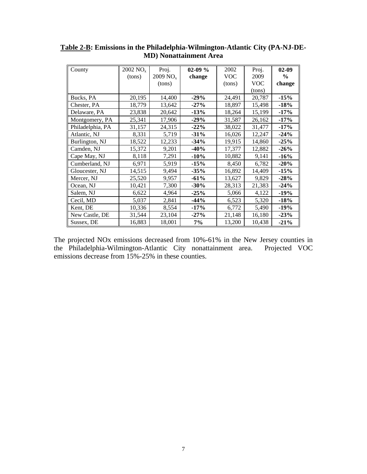| County           | $2002$ NO <sub>x</sub> | Proj.                  | $02-09 \%$ | 2002       | Proj.      | $02-09$ |
|------------------|------------------------|------------------------|------------|------------|------------|---------|
|                  | (tons)                 | $2009$ NO <sub>x</sub> | change     | <b>VOC</b> | 2009       | $\%$    |
|                  |                        | (tons)                 |            | (tons)     | <b>VOC</b> | change  |
|                  |                        |                        |            |            | (tons)     |         |
| Bucks, PA        | 20,195                 | 14,400                 | $-29%$     | 24,491     | 20,787     | $-15%$  |
| Chester, PA      | 18,779                 | 13,642                 | $-27%$     | 18,897     | 15,498     | $-18%$  |
| Delaware, PA     | 23,838                 | 20,642                 | $-13%$     | 18,264     | 15,199     | $-17%$  |
| Montgomery, PA   | 25,341                 | 17,906                 | $-29%$     | 31,587     | 26,162     | $-17%$  |
| Philadelphia, PA | 31,157                 | 24,315                 | $-22%$     | 38,022     | 31,477     | $-17%$  |
| Atlantic, NJ     | 8,331                  | 5,719                  | $-31%$     | 16,026     | 12,247     | $-24%$  |
| Burlington, NJ   | 18,522                 | 12,233                 | $-34%$     | 19,915     | 14,860     | $-25%$  |
| Camden, NJ       | 15,372                 | 9,201                  | $-40%$     | 17,377     | 12,882     | $-26%$  |
| Cape May, NJ     | 8,118                  | 7,291                  | $-10%$     | 10,882     | 9,141      | $-16%$  |
| Cumberland, NJ   | 6,971                  | 5,919                  | $-15%$     | 8,450      | 6,782      | $-20%$  |
| Gloucester, NJ   | 14,515                 | 9,494                  | $-35%$     | 16,892     | 14,409     | $-15%$  |
| Mercer, NJ       | 25,520                 | 9,957                  | $-61%$     | 13,627     | 9,829      | $-28%$  |
| Ocean, NJ        | 10,421                 | 7,300                  | $-30%$     | 28,313     | 21,383     | $-24%$  |
| Salem, NJ        | 6,622                  | 4,964                  | $-25%$     | 5,066      | 4,122      | $-19%$  |
| Cecil, MD        | 5,037                  | 2,841                  | $-44%$     | 6,523      | 5,320      | $-18%$  |
| Kent, DE         | 10,336                 | 8,554                  | $-17%$     | 6,772      | 5,490      | $-19%$  |
| New Castle, DE   | 31,544                 | 23,104                 | $-27%$     | 21,148     | 16,180     | $-23%$  |
| Sussex, DE       | 16,883                 | 18,001                 | 7%         | 13,200     | 10,438     | $-21%$  |

**Table 2-B: Emissions in the Philadelphia-Wilmington-Atlantic City (PA-NJ-DE-MD) Nonattainment Area** 

The projected NOx emissions decreased from 10%-61% in the New Jersey counties in the Philadelphia-Wilmington-Atlantic City nonattainment area. Projected VOC the Philadelphia-Wilmington-Atlantic City nonattainment area. emissions decrease from 15%-25% in these counties.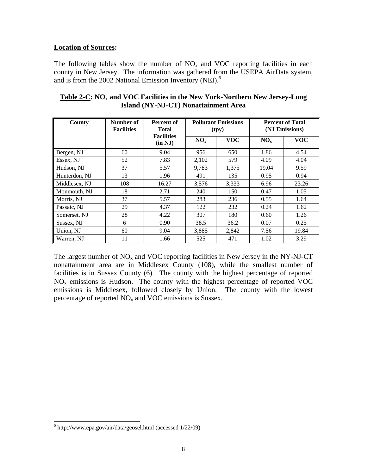### **Location of Sources:**

The following tables show the number of  $NO<sub>x</sub>$  and VOC reporting facilities in each county in New Jersey. The information was gathered from the USEPA AirData system, and is from the 2002 National Emission Inventory (NEI).<sup>6</sup>

| County        | Number of<br><b>Facilities</b> | Percent of<br><b>Total</b>   |          | <b>Pollutant Emissions</b><br>(tpy) | <b>Percent of Total</b><br>(NJ Emissions) |            |  |
|---------------|--------------------------------|------------------------------|----------|-------------------------------------|-------------------------------------------|------------|--|
|               |                                | <b>Facilities</b><br>(in NJ) | $NO_{x}$ | <b>VOC</b>                          | NO <sub>x</sub>                           | <b>VOC</b> |  |
| Bergen, NJ    | 60                             | 9.04                         | 956      | 650                                 | 1.86                                      | 4.54       |  |
| Essex, NJ     | 52                             | 7.83                         | 2,102    | 579                                 | 4.09                                      | 4.04       |  |
| Hudson, NJ    | 37                             | 5.57                         | 9,783    | 1,375                               | 19.04                                     | 9.59       |  |
| Hunterdon, NJ | 13                             | 1.96                         | 491      | 135                                 | 0.95                                      | 0.94       |  |
| Middlesex, NJ | 108                            | 16.27                        | 3,576    | 3,333                               | 6.96                                      | 23.26      |  |
| Monmouth, NJ  | 18                             | 2.71                         | 240      | 150                                 | 0.47                                      | 1.05       |  |
| Morris, NJ    | 37                             | 5.57                         | 283      | 236                                 | 0.55                                      | 1.64       |  |
| Passaic, NJ   | 29                             | 4.37                         | 122      | 232                                 | 0.24                                      | 1.62       |  |
| Somerset, NJ  | 28                             | 4.22                         | 307      | 180                                 | 0.60                                      | 1.26       |  |
| Sussex, NJ    | 6                              | 0.90                         | 38.5     | 36.2                                | 0.07                                      | 0.25       |  |
| Union, NJ     | 60                             | 9.04                         | 3,885    | 2,842                               | 7.56                                      | 19.84      |  |
| Warren, NJ    | 11                             | 1.66                         | 525      | 471                                 | 1.02                                      | 3.29       |  |

### Table 2-C: NO<sub>x</sub> and VOC Facilities in the New York-Northern New Jersey-Long **Island (NY-NJ-CT) Nonattainment Area**

The largest number of  $NO<sub>x</sub>$  and VOC reporting facilities in New Jersey in the NY-NJ-CT nonattainment area are in Middlesex County (108), while the smallest number of facilities is in Sussex County (6). The county with the highest percentage of reported  $NO<sub>x</sub>$  emissions is Hudson. The county with the highest percentage of reported VOC emissions is Middlesex, followed closely by Union. The county with the lowest percentage of reported  $NO<sub>x</sub>$  and VOC emissions is Sussex.

 $\overline{a}$ 

<sup>6</sup> http://www.epa.gov/air/data/geosel.html (accessed 1/22/09)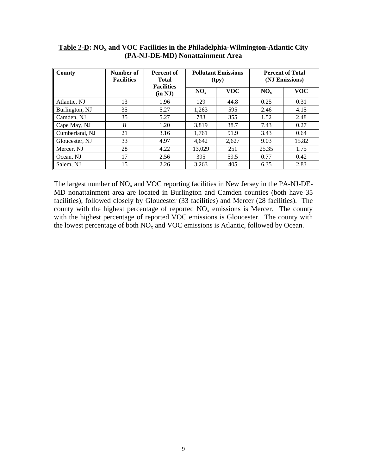| County         | Number of<br><b>Facilities</b> | Percent of<br><b>Total</b><br><b>Facilities</b> | <b>Pollutant Emissions</b><br>(tpy) |            |                 | <b>Percent of Total</b><br>(NJ Emissions) |
|----------------|--------------------------------|-------------------------------------------------|-------------------------------------|------------|-----------------|-------------------------------------------|
|                |                                | (in NJ)                                         | NO <sub>x</sub>                     | <b>VOC</b> | NO <sub>x</sub> | <b>VOC</b>                                |
| Atlantic, NJ   | 13                             | 1.96                                            | 129                                 | 44.8       | 0.25            | 0.31                                      |
| Burlington, NJ | 35                             | 5.27                                            | 1,263                               | 595        | 2.46            | 4.15                                      |
| Camden, NJ     | 35                             | 5.27                                            | 783                                 | 355        | 1.52            | 2.48                                      |
| Cape May, NJ   | 8                              | 1.20                                            | 3.819                               | 38.7       | 7.43            | 0.27                                      |
| Cumberland, NJ | 21                             | 3.16                                            | 1,761                               | 91.9       | 3.43            | 0.64                                      |
| Gloucester, NJ | 33                             | 4.97                                            | 4,642                               | 2,627      | 9.03            | 15.82                                     |
| Mercer, NJ     | 28                             | 4.22                                            | 13,029                              | 251        | 25.35           | 1.75                                      |
| Ocean, NJ      | 17                             | 2.56                                            | 395                                 | 59.5       | 0.77            | 0.42                                      |
| Salem, NJ      | 15                             | 2.26                                            | 3,263                               | 405        | 6.35            | 2.83                                      |

### Table 2-D: NO<sub>x</sub> and VOC Facilities in the Philadelphia-Wilmington-Atlantic City **(PA-NJ-DE-MD) Nonattainment Area**

The largest number of  $NO<sub>x</sub>$  and VOC reporting facilities in New Jersey in the PA-NJ-DE-MD nonattainment area are located in Burlington and Camden counties (both have 35 facilities), followed closely by Gloucester (33 facilities) and Mercer (28 facilities). The county with the highest percentage of reported  $NO<sub>x</sub>$  emissions is Mercer. The county with the highest percentage of reported VOC emissions is Gloucester. The county with the lowest percentage of both  $NO<sub>x</sub>$  and VOC emissions is Atlantic, followed by Ocean.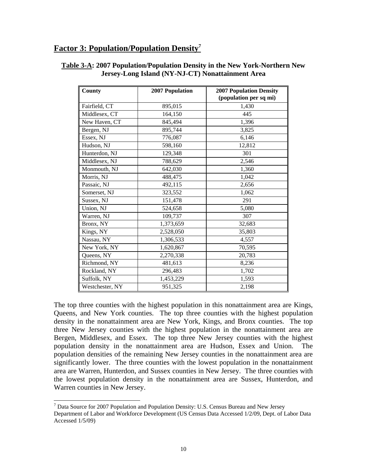## **Factor 3: Population/Population Density7**

| <b>County</b>   | 2007 Population | <b>2007 Population Density</b> |
|-----------------|-----------------|--------------------------------|
|                 |                 | (population per sq mi)         |
| Fairfield, CT   | 895,015         | 1,430                          |
| Middlesex, CT   | 164,150         | 445                            |
| New Haven, CT   | 845,494         | 1,396                          |
| Bergen, NJ      | 895,744         | 3,825                          |
| Essex, NJ       | 776,087         | 6,146                          |
| Hudson, NJ      | 598,160         | 12,812                         |
| Hunterdon, NJ   | 129,348         | 301                            |
| Middlesex, NJ   | 788,629         | 2,546                          |
| Monmouth, NJ    | 642,030         | 1,360                          |
| Morris, NJ      | 488,475         | 1,042                          |
| Passaic, NJ     | 492,115         | 2,656                          |
| Somerset, NJ    | 323,552         | 1,062                          |
| Sussex, NJ      | 151,478         | 291                            |
| Union, NJ       | 524,658         | 5,080                          |
| Warren, NJ      | 109,737         | 307                            |
| Bronx, NY       | 1,373,659       | 32,683                         |
| Kings, NY       | 2,528,050       | 35,803                         |
| Nassau, NY      | 1,306,533       | 4,557                          |
| New York, NY    | 1,620,867       | 70,595                         |
| Queens, NY      | 2,270,338       | 20,783                         |
| Richmond, NY    | 481,613         | 8,236                          |
| Rockland, NY    | 296,483         | 1,702                          |
| Suffolk, NY     | 1,453,229       | 1,593                          |
| Westchester, NY | 951,325         | 2,198                          |

#### **Table 3-A: 2007 Population/Population Density in the New York-Northern New Jersey-Long Island (NY-NJ-CT) Nonattainment Area**

The top three counties with the highest population in this nonattainment area are Kings, Queens, and New York counties. The top three counties with the highest population density in the nonattainment area are New York, Kings, and Bronx counties. The top three New Jersey counties with the highest population in the nonattainment area are Bergen, Middlesex, and Essex. The top three New Jersey counties with the highest population density in the nonattainment area are Hudson, Essex and Union. The population densities of the remaining New Jersey counties in the nonattainment area are significantly lower. The three counties with the lowest population in the nonattainment area are Warren, Hunterdon, and Sussex counties in New Jersey. The three counties with the lowest population density in the nonattainment area are Sussex, Hunterdon, and Warren counties in New Jersey.

 $\overline{a}$ 

<sup>&</sup>lt;sup>7</sup> Data Source for 2007 Population and Population Density: U.S. Census Bureau and New Jersey Department of Labor and Workforce Development (US Census Data Accessed 1/2/09, Dept. of Labor Data Accessed 1/5/09)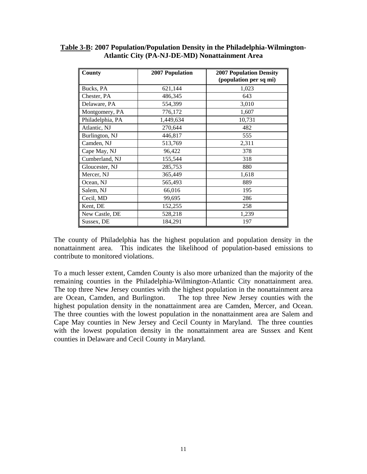| County           | 2007 Population | <b>2007 Population Density</b><br>(population per sq mi) |
|------------------|-----------------|----------------------------------------------------------|
| Bucks, PA        | 621,144         | 1,023                                                    |
| Chester, PA      | 486,345         | 643                                                      |
| Delaware, PA     | 554,399         | 3,010                                                    |
| Montgomery, PA   | 776,172         | 1,607                                                    |
| Philadelphia, PA | 1,449,634       | 10,731                                                   |
| Atlantic, NJ     | 270,644         | 482                                                      |
| Burlington, NJ   | 446,817         | 555                                                      |
| Camden, NJ       | 513,769         | 2,311                                                    |
| Cape May, NJ     | 96,422          | 378                                                      |
| Cumberland, NJ   | 155,544         | 318                                                      |
| Gloucester, NJ   | 285,753         | 880                                                      |
| Mercer, NJ       | 365,449         | 1,618                                                    |
| Ocean, NJ        | 565,493         | 889                                                      |
| Salem, NJ        | 66,016          | 195                                                      |
| Cecil, MD        | 99,695          | 286                                                      |
| Kent, DE         | 152,255         | 258                                                      |
| New Castle, DE   | 528,218         | 1,239                                                    |
| Sussex, DE       | 184,291         | 197                                                      |

### **Table 3-B: 2007 Population/Population Density in the Philadelphia-Wilmington-Atlantic City (PA-NJ-DE-MD) Nonattainment Area**

The county of Philadelphia has the highest population and population density in the nonattainment area. This indicates the likelihood of population-based emissions to contribute to monitored violations.

To a much lesser extent, Camden County is also more urbanized than the majority of the remaining counties in the Philadelphia-Wilmington-Atlantic City nonattainment area. The top three New Jersey counties with the highest population in the nonattainment area are Ocean, Camden, and Burlington. The top three New Jersey counties with the highest population density in the nonattainment area are Camden, Mercer, and Ocean. The three counties with the lowest population in the nonattainment area are Salem and Cape May counties in New Jersey and Cecil County in Maryland. The three counties with the lowest population density in the nonattainment area are Sussex and Kent counties in Delaware and Cecil County in Maryland.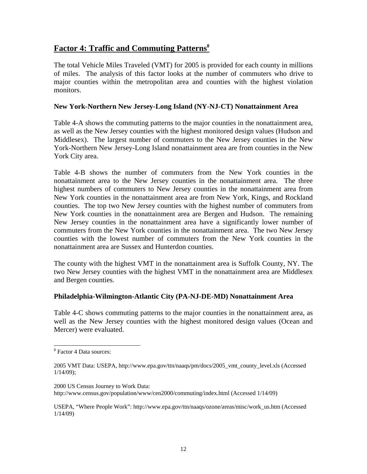# **Factor 4: Traffic and Commuting Patterns8**

The total Vehicle Miles Traveled (VMT) for 2005 is provided for each county in millions of miles. The analysis of this factor looks at the number of commuters who drive to major counties within the metropolitan area and counties with the highest violation monitors.

### **New York-Northern New Jersey-Long Island (NY-NJ-CT) Nonattainment Area**

Table 4-A shows the commuting patterns to the major counties in the nonattainment area, as well as the New Jersey counties with the highest monitored design values (Hudson and Middlesex). The largest number of commuters to the New Jersey counties in the New York-Northern New Jersey-Long Island nonattainment area are from counties in the New York City area.

Table 4-B shows the number of commuters from the New York counties in the nonattainment area to the New Jersey counties in the nonattainment area. The three highest numbers of commuters to New Jersey counties in the nonattainment area from New York counties in the nonattainment area are from New York, Kings, and Rockland counties. The top two New Jersey counties with the highest number of commuters from New York counties in the nonattainment area are Bergen and Hudson. The remaining New Jersey counties in the nonattainment area have a significantly lower number of commuters from the New York counties in the nonattainment area. The two New Jersey counties with the lowest number of commuters from the New York counties in the nonattainment area are Sussex and Hunterdon counties.

The county with the highest VMT in the nonattainment area is Suffolk County, NY. The two New Jersey counties with the highest VMT in the nonattainment area are Middlesex and Bergen counties.

#### **Philadelphia-Wilmington-Atlantic City (PA-NJ-DE-MD) Nonattainment Area**

Table 4-C shows commuting patterns to the major counties in the nonattainment area, as well as the New Jersey counties with the highest monitored design values (Ocean and Mercer) were evaluated.

2000 US Census Journey to Work Data: http://www.census.gov/population/www/cen2000/commuting/index.html (Accessed 1/14/09)

USEPA, "Where People Work": http://www.epa.gov/ttn/naaqs/ozone/areas/misc/work\_us.htm (Accessed 1/14/09)

 $\overline{a}$ <sup>8</sup> Factor 4 Data sources:

<sup>2005</sup> VMT Data: USEPA, http://www.epa.gov/ttn/naaqs/pm/docs/2005\_vmt\_county\_level.xls (Accessed 1/14/09);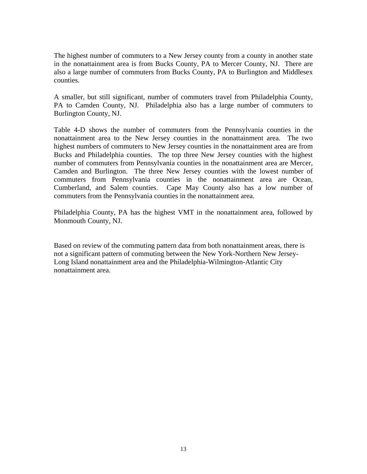The highest number of commuters to a New Jersey county from a county in another state in the nonattainment area is from Bucks County, PA to Mercer County, NJ. There are also a large number of commuters from Bucks County, PA to Burlington and Middlesex counties.

A smaller, but still significant, number of commuters travel from Philadelphia County, PA to Camden County, NJ. Philadelphia also has a large number of commuters to Burlington County, NJ.

Table 4-D shows the number of commuters from the Pennsylvania counties in the nonattainment area to the New Jersey counties in the nonattainment area. The two highest numbers of commuters to New Jersey counties in the nonattainment area are from Bucks and Philadelphia counties. The top three New Jersey counties with the highest number of commuters from Pennsylvania counties in the nonattainment area are Mercer, Camden and Burlington. The three New Jersey counties with the lowest number of commuters from Pennsylvania counties in the nonattainment area are Ocean, Cumberland, and Salem counties. Cape May County also has a low number of commuters from the Pennsylvania counties in the nonattainment area.

Philadelphia County, PA has the highest VMT in the nonattainment area, followed by Monmouth County, NJ.

Based on review of the commuting pattern data from both nonattainment areas, there is not a significant pattern of commuting between the New York-Northern New Jersey-Long Island nonattainment area and the Philadelphia-Wilmington-Atlantic City nonattainment area.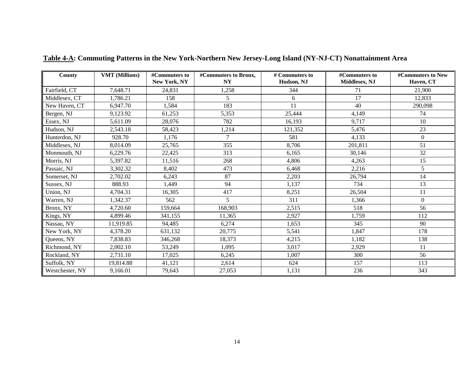| County          | <b>VMT</b> (Millions) | #Commuters to | #Commuters to Bronx, | # Commuters to | #Commuters to | #Commuters to New |
|-----------------|-----------------------|---------------|----------------------|----------------|---------------|-------------------|
|                 |                       | New York, NY  | <b>NY</b>            | Hudson, NJ     | Middlesex, NJ | Haven, CT         |
| Fairfield, CT   | 7,648.71              | 24,831        | 1,258                | 344            | 71            | 21,900            |
| Middlesex, CT   | 1,786.21              | 158           | 5                    | 6              | 17            | 12,833            |
| New Haven, CT   | 6,947.70              | 1,584         | 183                  | 11             | 40            | 290,098           |
| Bergen, NJ      | 9,123.92              | 61,253        | 5,353                | 25,444         | 4,149         | 74                |
| Essex, NJ       | 5,611.09              | 28,076        | 782                  | 16,193         | 9,717         | 10                |
| Hudson, NJ      | 2,543.18              | 58,423        | 1,214                | 121,352        | 5,476         | 23                |
| Hunterdon, NJ   | 928.70                | 1,176         | $\tau$               | 581            | 4,133         | $\Omega$          |
| Middlesex, NJ   | 8,014.09              | 25,765        | 355                  | 8,706          | 201,811       | 51                |
| Monmouth, NJ    | 6,229.76              | 22,425        | 313                  | 6,165          | 30,146        | 32                |
| Morris, NJ      | 5,397.82              | 11,516        | 268                  | 4,806          | 4,263         | 15                |
| Passaic, NJ     | 3,302.32              | 8,402         | 473                  | 6,468          | 2,216         | 5 <sup>5</sup>    |
| Somerset, NJ    | 2,702.02              | 6,243         | 87                   | 2,203          | 26,794        | 14                |
| Sussex, NJ      | 888.93                | 1,449         | 94                   | 1,137          | 734           | 13                |
| Union, NJ       | 4,704.31              | 16,305        | 417                  | 8,251          | 26,504        | 11                |
| Warren, NJ      | 1,342.37              | 562           | 5                    | 311            | 1,366         | $\Omega$          |
| Bronx, NY       | 4,720.60              | 159.664       | 168,903              | 2,515          | 518           | 56                |
| Kings, NY       | 4,899.46              | 341,155       | 11,365               | 2,927          | 1,759         | 112               |
| Nassau, NY      | 11,919.85             | 94,485        | 6,274                | 1,653          | 345           | 90                |
| New York, NY    | 4,378.20              | 631,132       | 20,775               | 5,541          | 1,847         | 178               |
| Queens, NY      | 7,838.83              | 346,268       | 18,373               | 4,215          | 1,182         | 138               |
| Richmond, NY    | 2,002.10              | 53,249        | 1.095                | 3,017          | 2,929         | 11                |
| Rockland, NY    | 2,731.10              | 17,025        | 6,245                | 1,007          | 300           | 56                |
| Suffolk, NY     | 19,814.88             | 41.121        | 2,614                | 624            | 157           | 113               |
| Westchester, NY | 9,166.01              | 79,643        | 27,053               | 1,131          | 236           | 343               |

**Table 4-A: Commuting Patterns in the New York-Northern New Jersey-Long Island (NY-NJ-CT) Nonattainment Area**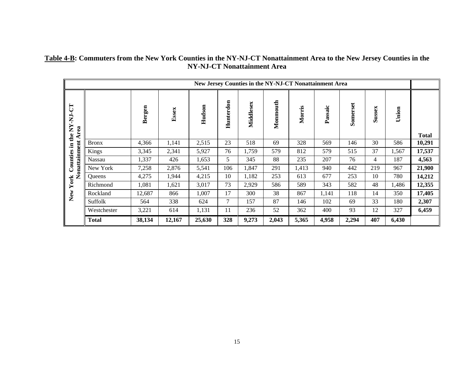### **Table 4-B: Commuters from the New York Counties in the NY-NJ-CT Nonattainment Area to the New Jersey Counties in the NY-NJ-CT Nonattainment Area**

|                      | New Jersey Counties in the NY-NJ-CT Nonattainment Area |        |        |        |           |           |          |        |         |          |        |       |              |
|----------------------|--------------------------------------------------------|--------|--------|--------|-----------|-----------|----------|--------|---------|----------|--------|-------|--------------|
| the NY-NJ-CT<br>Area |                                                        | Bergen | Essex  | Hudson | Hunterdon | Middlesex | Monmouth | Morris | Passaic | Somerset | Sussex | Union | <b>Total</b> |
| $\Xi$                | <b>Bronx</b>                                           | 4,366  | 1,141  | 2,515  | 23        | 518       | 69       | 328    | 569     | 146      | 30     | 586   | 10,291       |
| onattainment         | Kings                                                  | 3,345  | 2,341  | 5,927  | 76        | 1,759     | 579      | 812    | 579     | 515      | 37     | 1,567 | 17,537       |
| Counties             | Nassau                                                 | 1,337  | 426    | 1,653  | 5         | 345       | 88       | 235    | 207     | 76       | 4      | 187   | 4,563        |
|                      | New York                                               | 7,258  | 2,876  | 5,541  | 106       | 1,847     | 291      | 1,413  | 940     | 442      | 219    | 967   | 21,900       |
|                      | Queens                                                 | 4,275  | 1,944  | 4,215  | 10        | 1,182     | 253      | 613    | 677     | 253      | 10     | 780   | 14,212       |
| York                 | Richmond                                               | 1,081  | 1,621  | 3,017  | 73        | 2,929     | 586      | 589    | 343     | 582      | 48     | 1,486 | 12,355       |
| New                  | Rockland                                               | 12,687 | 866    | 1,007  | 17        | 300       | 38       | 867    | 1,141   | 118      | 14     | 350   | 17,405       |
|                      | Suffolk                                                | 564    | 338    | 624    | 7         | 157       | 87       | 146    | 102     | 69       | 33     | 180   | 2,307        |
|                      | Westchester                                            | 3,221  | 614    | 1,131  | 11        | 236       | 52       | 362    | 400     | 93       | 12     | 327   | 6,459        |
|                      | <b>Total</b>                                           | 38,134 | 12,167 | 25,630 | 328       | 9,273     | 2,043    | 5,365  | 4,958   | 2,294    | 407    | 6,430 |              |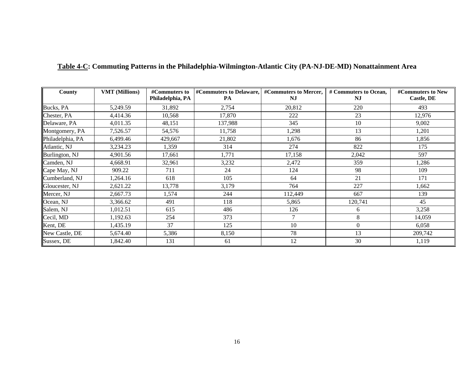| County           | <b>VMT</b> (Millions) | Philadelphia, PA | #Commuters to  #Commuters to Delaware,   #Commuters to Mercer,<br>PA | $N_{\rm J}$ | # Commuters to Ocean,<br>NJ | #Commuters to New<br>Castle, DE |
|------------------|-----------------------|------------------|----------------------------------------------------------------------|-------------|-----------------------------|---------------------------------|
| Bucks, PA        | 5,249.59              | 31,892           | 2,754                                                                | 20,812      | 220                         | 493                             |
| Chester, PA      | 4,414.36              | 10,568           | 17,870                                                               | 222         | 23                          | 12,976                          |
| Delaware, PA     | 4,011.35              | 48,151           | 137,988                                                              | 345         | 10                          | 9,002                           |
| Montgomery, PA   | 7,526.57              | 54,576           | 11,758                                                               | 1,298       | 13                          | 1,201                           |
| Philadelphia, PA | 6,499.46              | 429,667          | 21,802                                                               | 1,676       | 86                          | 1,856                           |
| Atlantic, NJ     | 3,234.23              | 1,359            | 314                                                                  | 274         | 822                         | 175                             |
| Burlington, NJ   | 4,901.56              | 17,661           | 1,771                                                                | 17,158      | 2,042                       | 597                             |
| Camden, NJ       | 4,668.91              | 32,961           | 3,232                                                                | 2,472       | 359                         | 1,286                           |
| Cape May, NJ     | 909.22                | 711              | 24                                                                   | 124         | 98                          | 109                             |
| Cumberland, NJ   | 1,264.16              | 618              | 105                                                                  | 64          | 21                          | 171                             |
| Gloucester, NJ   | 2,621.22              | 13,778           | 3,179                                                                | 764         | 227                         | 1,662                           |
| Mercer, NJ       | 2,667.73              | 1,574            | 244                                                                  | 112,449     | 667                         | 139                             |
| Ocean, NJ        | 3,366.62              | 491              | 118                                                                  | 5,865       | 120,741                     | 45                              |
| Salem, NJ        | 1,012.51              | 615              | 486                                                                  | 126         | 6                           | 3,258                           |
| Cecil, MD        | 1,192.63              | 254              | 373                                                                  | $\tau$      | 8                           | 14,059                          |
| Kent, DE         | 1,435.19              | 37               | 125                                                                  | 10          | $\Omega$                    | 6,058                           |
| New Castle, DE   | 5,674.40              | 5,386            | 8,150                                                                | 78          | 13                          | 209,742                         |
| Sussex, DE       | 1,842.40              | 131              | 61                                                                   | 12          | 30                          | 1,119                           |

#### **Table 4-C: Commuting Patterns in the Philadelphia-Wilmington-Atlantic City (PA-NJ-DE-MD) Nonattainment Area**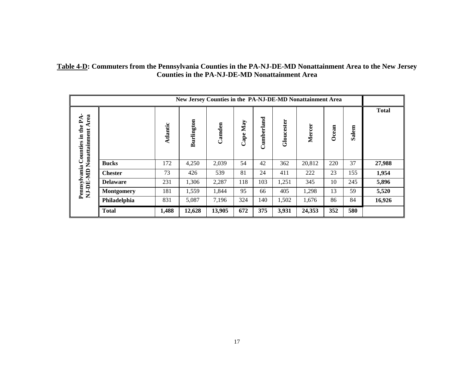| Table 4-D: Commuters from the Pennsylvania Counties in the PA-NJ-DE-MD Nonattainment Area to the New Jersey |
|-------------------------------------------------------------------------------------------------------------|
| <b>Counties in the PA-NJ-DE-MD Nonattainment Area</b>                                                       |

| New Jersey Counties in the PA-NJ-DE-MD Nonattainment Area |          |            |        |             |                 |            |        |       |       |              |
|-----------------------------------------------------------|----------|------------|--------|-------------|-----------------|------------|--------|-------|-------|--------------|
| Area<br>Nonattainment                                     | Atlantic | Burlington | Camden | May<br>Cape | erland<br>Cumbe | Gloucester | Mercer | Ocean | Salem | <b>Total</b> |
| <b>Bucks</b>                                              | 172      | 4,250      | 2,039  | 54          | 42              | 362        | 20,812 | 220   | 37    | 27,988       |
| <b>Chester</b>                                            | 73       | 426        | 539    | 81          | 24              | 411        | 222    | 23    | 155   | 1,954        |
| <b>Delaware</b>                                           | 231      | 1,306      | 2,287  | 118         | 103             | 1,251      | 345    | 10    | 245   | 5,896        |
| <b>Montgomery</b>                                         | 181      | 1,559      | 1,844  | 95          | 66              | 405        | 1,298  | 13    | 59    | 5,520        |
| Philadelphia                                              | 831      | 5,087      | 7,196  | 324         | 140             | 1,502      | 1,676  | 86    | 84    | 16,926       |
| <b>Total</b>                                              | 1,488    | 12,628     | 13,905 | 672         | 375             | 3,931      | 24,353 | 352   | 580   |              |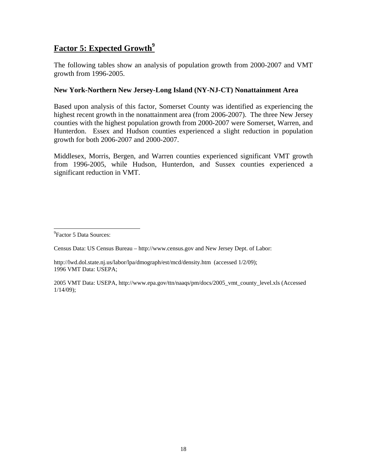# **Factor 5: Expected Growth**<sup>9</sup>

The following tables show an analysis of population growth from 2000-2007 and VMT growth from 1996-2005.

### **New York-Northern New Jersey-Long Island (NY-NJ-CT) Nonattainment Area**

Based upon analysis of this factor, Somerset County was identified as experiencing the highest recent growth in the nonattainment area (from 2006-2007). The three New Jersey counties with the highest population growth from 2000-2007 were Somerset, Warren, and Hunterdon. Essex and Hudson counties experienced a slight reduction in population growth for both 2006-2007 and 2000-2007.

Middlesex, Morris, Bergen, and Warren counties experienced significant VMT growth from 1996-2005, while Hudson, Hunterdon, and Sussex counties experienced a significant reduction in VMT.

<sup>9</sup> Factor 5 Data Sources:

 $\overline{\phantom{a}}$ 

Census Data: US Census Bureau – http://www.census.gov and New Jersey Dept. of Labor:

http://lwd.dol.state.nj.us/labor/lpa/dmograph/est/mcd/density.htm (accessed 1/2/09); 1996 VMT Data: USEPA;

2005 VMT Data: USEPA, http://www.epa.gov/ttn/naaqs/pm/docs/2005\_vmt\_county\_level.xls (Accessed 1/14/09);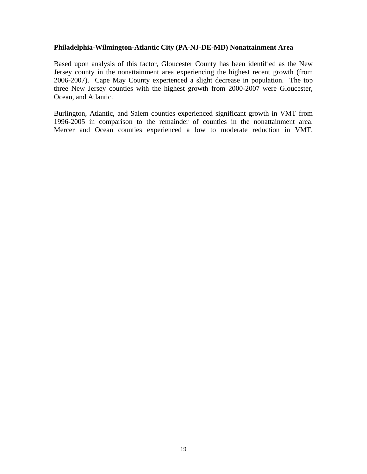#### **Philadelphia-Wilmington-Atlantic City (PA-NJ-DE-MD) Nonattainment Area**

Based upon analysis of this factor, Gloucester County has been identified as the New Jersey county in the nonattainment area experiencing the highest recent growth (from 2006-2007). Cape May County experienced a slight decrease in population. The top three New Jersey counties with the highest growth from 2000-2007 were Gloucester, Ocean, and Atlantic.

Burlington, Atlantic, and Salem counties experienced significant growth in VMT from 1996-2005 in comparison to the remainder of counties in the nonattainment area. Mercer and Ocean counties experienced a low to moderate reduction in VMT.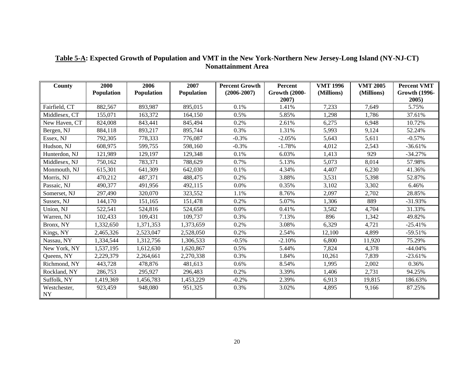| County             | 2000       | 2006       | 2007       | <b>Percent Growth</b> | Percent                       | <b>VMT 1996</b> | <b>VMT 2005</b> | <b>Percent VMT</b>            |
|--------------------|------------|------------|------------|-----------------------|-------------------------------|-----------------|-----------------|-------------------------------|
|                    | Population | Population | Population | $(2006 - 2007)$       | <b>Growth (2000-</b><br>2007) | (Millions)      | (Millions)      | <b>Growth (1996-</b><br>2005) |
| Fairfield, CT      | 882,567    | 893,987    | 895,015    | 0.1%                  | 1.41%                         | 7,233           | 7,649           | 5.75%                         |
| Middlesex, CT      | 155,071    | 163,372    | 164,150    | 0.5%                  | 5.85%                         | 1,298           | 1,786           | 37.61%                        |
| New Haven, CT      | 824,008    | 843,441    | 845,494    | 0.2%                  | 2.61%                         | 6,275           | 6,948           | 10.72%                        |
| Bergen, NJ         | 884,118    | 893,217    | 895,744    | 0.3%                  | 1.31%                         | 5,993           | 9,124           | 52.24%                        |
| Essex, NJ          | 792,305    | 778,333    | 776,087    | $-0.3%$               | $-2.05%$                      | 5,643           | 5,611           | $-0.57%$                      |
| Hudson, NJ         | 608,975    | 599,755    | 598,160    | $-0.3%$               | $-1.78%$                      | 4,012           | 2,543           | $-36.61%$                     |
| Hunterdon, NJ      | 121,989    | 129,197    | 129,348    | 0.1%                  | 6.03%                         | 1,413           | 929             | $-34.27%$                     |
| Middlesex, NJ      | 750,162    | 783,371    | 788,629    | 0.7%                  | 5.13%                         | 5,073           | 8,014           | 57.98%                        |
| Monmouth, NJ       | 615,301    | 641,309    | 642,030    | 0.1%                  | 4.34%                         | 4,407           | 6,230           | 41.36%                        |
| Morris, NJ         | 470,212    | 487,371    | 488,475    | 0.2%                  | 3.88%                         | 3,531           | 5,398           | 52.87%                        |
| Passaic, NJ        | 490,377    | 491,956    | 492,115    | 0.0%                  | 0.35%                         | 3,102           | 3,302           | 6.46%                         |
| Somerset, NJ       | 297,490    | 320,070    | 323,552    | 1.1%                  | 8.76%                         | 2,097           | 2,702           | 28.85%                        |
| Sussex, NJ         | 144,170    | 151,165    | 151,478    | 0.2%                  | 5.07%                         | 1,306           | 889             | $-31.93%$                     |
| Union, NJ          | 522,541    | 524,816    | 524,658    | 0.0%                  | 0.41%                         | 3,582           | 4,704           | 31.33%                        |
| Warren, NJ         | 102,433    | 109,431    | 109,737    | 0.3%                  | 7.13%                         | 896             | 1,342           | 49.82%                        |
| Bronx, NY          | 1,332,650  | 1,371,353  | 1,373,659  | 0.2%                  | 3.08%                         | 6,329           | 4,721           | $-25.41%$                     |
| Kings, NY          | 2,465,326  | 2,523,047  | 2,528,050  | 0.2%                  | 2.54%                         | 12,100          | 4,899           | $-59.51%$                     |
| Nassau, NY         | 1,334,544  | 1,312,756  | 1,306,533  | $-0.5%$               | $-2.10%$                      | 6,800           | 11,920          | 75.29%                        |
| New York, NY       | 1,537,195  | 1,612,630  | 1,620,867  | 0.5%                  | 5.44%                         | 7,824           | 4,378           | $-44.04%$                     |
| Queens, NY         | 2,229,379  | 2,264,661  | 2,270,338  | 0.3%                  | 1.84%                         | 10,261          | 7,839           | $-23.61%$                     |
| Richmond, NY       | 443,728    | 478,876    | 481,613    | 0.6%                  | 8.54%                         | 1,995           | 2,002           | 0.36%                         |
| Rockland, NY       | 286,753    | 295,927    | 296,483    | 0.2%                  | 3.39%                         | 1,406           | 2,731           | 94.25%                        |
| Suffolk, NY        | 1,419,369  | 1,456,783  | 1,453,229  | $-0.2%$               | 2.39%                         | 6,913           | 19,815          | 186.63%                       |
| Westchester,<br>NY | 923,459    | 948,080    | 951,325    | 0.3%                  | 3.02%                         | 4,895           | 9,166           | 87.25%                        |

### **Table 5-A: Expected Growth of Population and VMT in the New York-Northern New Jersey-Long Island (NY-NJ-CT) Nonattainment Area**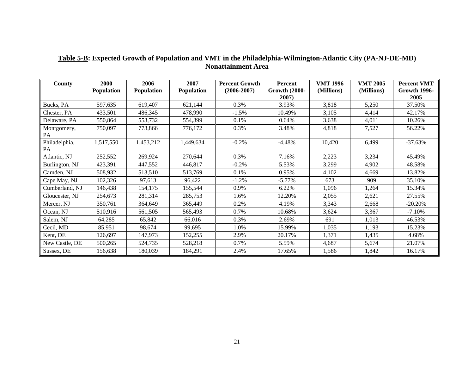| County         | 2000       | 2006              | 2007       | <b>Percent Growth</b> | <b>Percent</b>       | <b>VMT 1996</b> | <b>VMT 2005</b> | <b>Percent VMT</b>  |
|----------------|------------|-------------------|------------|-----------------------|----------------------|-----------------|-----------------|---------------------|
|                | Population | <b>Population</b> | Population | $(2006 - 2007)$       | <b>Growth (2000-</b> | (Millions)      | (Millions)      | <b>Growth 1996-</b> |
|                |            |                   |            |                       | 2007)                |                 |                 | 2005                |
| Bucks, PA      | 597,635    | 619,407           | 621,144    | 0.3%                  | 3.93%                | 3,818           | 5,250           | 37.50%              |
| Chester, PA    | 433,501    | 486,345           | 478,990    | $-1.5%$               | 10.49%               | 3,105           | 4,414           | 42.17%              |
| Delaware, PA   | 550,864    | 553,732           | 554,399    | 0.1%                  | 0.64%                | 3,638           | 4,011           | 10.26%              |
| Montgomery,    | 750,097    | 773,866           | 776,172    | 0.3%                  | 3.48%                | 4,818           | 7,527           | 56.22%              |
| PA             |            |                   |            |                       |                      |                 |                 |                     |
| Philadelphia,  | 1,517,550  | 1,453,212         | 1,449,634  | $-0.2%$               | $-4.48%$             | 10,420          | 6,499           | $-37.63%$           |
| PA             |            |                   |            |                       |                      |                 |                 |                     |
| Atlantic, NJ   | 252,552    | 269,924           | 270,644    | 0.3%                  | 7.16%                | 2,223           | 3,234           | 45.49%              |
| Burlington, NJ | 423,391    | 447,552           | 446,817    | $-0.2%$               | 5.53%                | 3,299           | 4,902           | 48.58%              |
| Camden, NJ     | 508,932    | 513,510           | 513,769    | 0.1%                  | 0.95%                | 4,102           | 4,669           | 13.82%              |
| Cape May, NJ   | 102,326    | 97,613            | 96,422     | $-1.2%$               | $-5.77\%$            | 673             | 909             | 35.10%              |
| Cumberland, NJ | 146,438    | 154,175           | 155,544    | 0.9%                  | 6.22%                | 1,096           | 1,264           | 15.34%              |
| Gloucester, NJ | 254,673    | 281,314           | 285,753    | 1.6%                  | 12.20%               | 2,055           | 2,621           | 27.55%              |
| Mercer, NJ     | 350,761    | 364,649           | 365,449    | 0.2%                  | 4.19%                | 3,343           | 2,668           | $-20.20%$           |
| Ocean, NJ      | 510,916    | 561,505           | 565,493    | 0.7%                  | 10.68%               | 3,624           | 3,367           | $-7.10%$            |
| Salem, NJ      | 64,285     | 65,842            | 66,016     | 0.3%                  | 2.69%                | 691             | 1,013           | 46.53%              |
| Cecil, MD      | 85,951     | 98,674            | 99,695     | 1.0%                  | 15.99%               | 1,035           | 1,193           | 15.23%              |
| Kent, DE       | 126,697    | 147,973           | 152,255    | 2.9%                  | 20.17%               | 1,371           | 1,435           | 4.68%               |
| New Castle, DE | 500,265    | 524,735           | 528,218    | 0.7%                  | 5.59%                | 4,687           | 5,674           | 21.07%              |
| Sussex, DE     | 156,638    | 180,039           | 184,291    | 2.4%                  | 17.65%               | 1,586           | 1,842           | 16.17%              |

#### **Table 5-B: Expected Growth of Population and VMT in the Philadelphia-Wilmington-Atlantic City (PA-NJ-DE-MD) Nonattainment Area**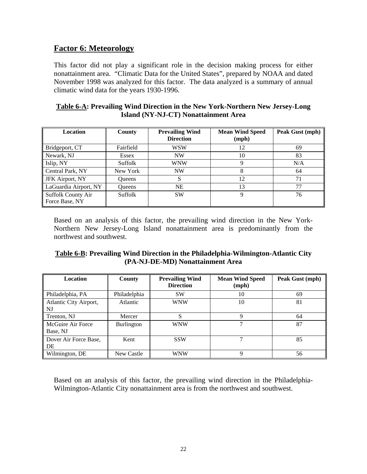# **Factor 6: Meteorology**

This factor did not play a significant role in the decision making process for either nonattainment area. "Climatic Data for the United States", prepared by NOAA and dated November 1998 was analyzed for this factor. The data analyzed is a summary of annual climatic wind data for the years 1930-1996.

| Table 6-A: Prevailing Wind Direction in the New York-Northern New Jersey-Long |
|-------------------------------------------------------------------------------|
| Island (NY-NJ-CT) Nonattainment Area                                          |

| Location                             | County        | <b>Prevailing Wind</b><br><b>Direction</b> | <b>Mean Wind Speed</b><br>(mph) | Peak Gust (mph) |
|--------------------------------------|---------------|--------------------------------------------|---------------------------------|-----------------|
| Bridgeport, CT                       | Fairfield     | <b>WSW</b>                                 | 12                              | 69              |
| Newark, NJ                           | Essex         | <b>NW</b>                                  | 10                              | 83              |
| Islip, NY                            | Suffolk       | <b>WNW</b>                                 |                                 | N/A             |
| Central Park, NY                     | New York      | <b>NW</b>                                  |                                 | 64              |
| <b>JFK</b> Airport, NY               | <b>Oueens</b> | S                                          | 12                              | 71              |
| LaGuardia Airport, NY                | <b>Oueens</b> | <b>NE</b>                                  | 13                              | 77              |
| Suffolk County Air<br>Force Base, NY | Suffolk       | <b>SW</b>                                  | 9                               | 76              |

Based on an analysis of this factor, the prevailing wind direction in the New York-Northern New Jersey-Long Island nonattainment area is predominantly from the northwest and southwest.

|  | Table 6-B: Prevailing Wind Direction in the Philadelphia-Wilmington-Atlantic City |
|--|-----------------------------------------------------------------------------------|
|  | (PA-NJ-DE-MD) Nonattainment Area                                                  |

| <b>Location</b>               | County            | <b>Prevailing Wind</b><br><b>Direction</b> | <b>Mean Wind Speed</b><br>(mph) | Peak Gust (mph) |
|-------------------------------|-------------------|--------------------------------------------|---------------------------------|-----------------|
| Philadelphia, PA              | Philadelphia      | <b>SW</b>                                  | 10                              | 69              |
| Atlantic City Airport,<br>NJ  | Atlantic          | <b>WNW</b>                                 | 10                              | 81              |
| Trenton, NJ                   | Mercer            | S                                          | 9                               | 64              |
| McGuire Air Force<br>Base, NJ | <b>Burlington</b> | <b>WNW</b>                                 | 7                               | 87              |
| Dover Air Force Base,<br>DE   | Kent              | <b>SSW</b>                                 | 7                               | 85              |
| Wilmington, DE                | New Castle        | <b>WNW</b>                                 | 9                               | 56              |

Based on an analysis of this factor, the prevailing wind direction in the Philadelphia-Wilmington-Atlantic City nonattainment area is from the northwest and southwest.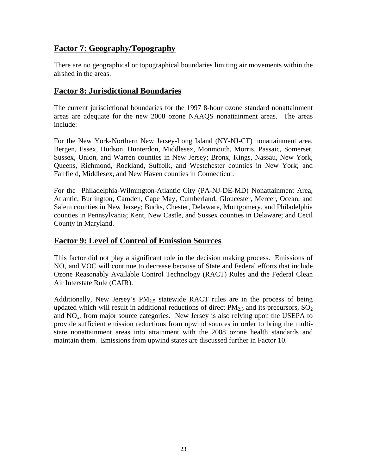# **Factor 7: Geography/Topography**

There are no geographical or topographical boundaries limiting air movements within the airshed in the areas.

# **Factor 8: Jurisdictional Boundaries**

The current jurisdictional boundaries for the 1997 8-hour ozone standard nonattainment areas are adequate for the new 2008 ozone NAAQS nonattainment areas. The areas include:

For the New York-Northern New Jersey-Long Island (NY-NJ-CT) nonattainment area, Bergen, Essex, Hudson, Hunterdon, Middlesex, Monmouth, Morris, Passaic, Somerset, Sussex, Union, and Warren counties in New Jersey; Bronx, Kings, Nassau, New York, Queens, Richmond, Rockland, Suffolk, and Westchester counties in New York; and Fairfield, Middlesex, and New Haven counties in Connecticut.

For the Philadelphia-Wilmington-Atlantic City (PA-NJ-DE-MD) Nonattainment Area, Atlantic, Burlington, Camden, Cape May, Cumberland, Gloucester, Mercer, Ocean, and Salem counties in New Jersey; Bucks, Chester, Delaware, Montgomery, and Philadelphia counties in Pennsylvania; Kent, New Castle, and Sussex counties in Delaware; and Cecil County in Maryland.

# **Factor 9: Level of Control of Emission Sources**

This factor did not play a significant role in the decision making process. Emissions of  $NO<sub>x</sub>$  and VOC will continue to decrease because of State and Federal efforts that include Ozone Reasonably Available Control Technology (RACT) Rules and the Federal Clean Air Interstate Rule (CAIR).

Additionally, New Jersey's  $PM_{2.5}$  statewide RACT rules are in the process of being updated which will result in additional reductions of direct  $PM<sub>2.5</sub>$  and its precursors,  $SO<sub>2</sub>$ and  $NO<sub>x</sub>$ , from major source categories. New Jersey is also relying upon the USEPA to provide sufficient emission reductions from upwind sources in order to bring the multistate nonattainment areas into attainment with the 2008 ozone health standards and maintain them. Emissions from upwind states are discussed further in Factor 10.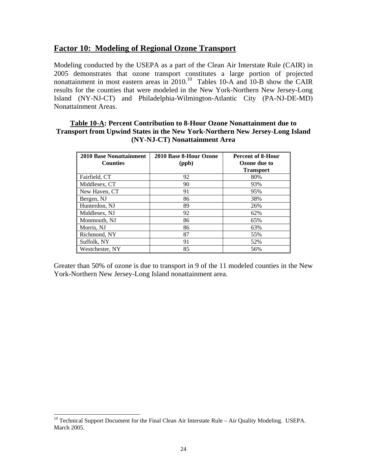# **Factor 10: Modeling of Regional Ozone Transport**

Modeling conducted by the USEPA as a part of the Clean Air Interstate Rule (CAIR) in 2005 demonstrates that ozone transport constitutes a large portion of projected nonattainment in most eastern areas in  $2010$ .<sup>10</sup> Tables 10-A and 10-B show the CAIR results for the counties that were modeled in the New York-Northern New Jersey-Long Island (NY-NJ-CT) and Philadelphia-Wilmington-Atlantic City (PA-NJ-DE-MD) Nonattainment Areas.

#### **Table 10-A: Percent Contribution to 8-Hour Ozone Nonattainment due to Transport from Upwind States in the New York-Northern New Jersey-Long Island (NY-NJ-CT) Nonattainment Area**

| <b>2010 Base Nonattainment</b> | 2010 Base 8-Hour Ozone | <b>Percent of 8-Hour</b> |
|--------------------------------|------------------------|--------------------------|
| <b>Counties</b>                | (ppb)                  | <b>Ozone due to</b>      |
|                                |                        | <b>Transport</b>         |
| Fairfield, CT                  | 92                     | 80%                      |
| Middlesex, CT                  | 90                     | 93%                      |
| New Haven, CT                  | 91                     | 95%                      |
| Bergen, NJ                     | 86                     | 38%                      |
| Hunterdon, NJ                  | 89                     | 26%                      |
| Middlesex, NJ                  | 92                     | 62%                      |
| Monmouth, NJ                   | 86                     | 65%                      |
| Morris, NJ                     | 86                     | 63%                      |
| Richmond, NY                   | 87                     | 55%                      |
| Suffolk, NY                    | 91                     | 52%                      |
| Westchester, NY                | 85                     | 56%                      |

Greater than 50% of ozone is due to transport in 9 of the 11 modeled counties in the New York-Northern New Jersey-Long Island nonattainment area.

 $\overline{\phantom{a}}$ 

 $10$  Technical Support Document for the Final Clean Air Interstate Rule – Air Quality Modeling. USEPA. March 2005.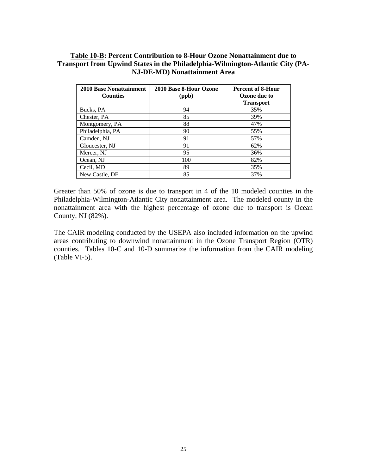### **Table 10-B: Percent Contribution to 8-Hour Ozone Nonattainment due to Transport from Upwind States in the Philadelphia-Wilmington-Atlantic City (PA-NJ-DE-MD) Nonattainment Area**

| <b>2010 Base Nonattainment</b> | 2010 Base 8-Hour Ozone | <b>Percent of 8-Hour</b> |
|--------------------------------|------------------------|--------------------------|
| <b>Counties</b>                | (ppb)                  | Ozone due to             |
|                                |                        | Transport                |
| Bucks, PA                      | 94                     | 35%                      |
| Chester, PA                    | 85                     | 39%                      |
| Montgomery, PA                 | 88                     | 47%                      |
| Philadelphia, PA               | 90                     | 55%                      |
| Camden, NJ                     | 91                     | 57%                      |
| Gloucester, NJ                 | 91                     | 62%                      |
| Mercer, NJ                     | 95                     | 36%                      |
| Ocean, NJ                      | 100                    | 82%                      |
| Cecil, MD                      | 89                     | 35%                      |
| New Castle, DE                 | 85                     | 37%                      |

Greater than 50% of ozone is due to transport in 4 of the 10 modeled counties in the Philadelphia-Wilmington-Atlantic City nonattainment area. The modeled county in the nonattainment area with the highest percentage of ozone due to transport is Ocean County, NJ (82%).

The CAIR modeling conducted by the USEPA also included information on the upwind areas contributing to downwind nonattainment in the Ozone Transport Region (OTR) counties. Tables 10-C and 10-D summarize the information from the CAIR modeling (Table VI-5).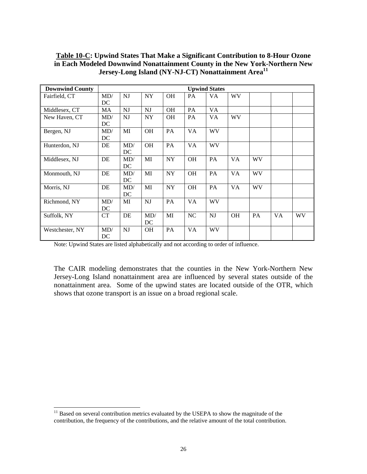| <b>Downwind County</b> |     |     |           |           |           | <b>Upwind States</b> |           |           |    |           |
|------------------------|-----|-----|-----------|-----------|-----------|----------------------|-----------|-----------|----|-----------|
| Fairfield, CT          | MD/ | NJ  | <b>NY</b> | <b>OH</b> | <b>PA</b> | <b>VA</b>            | WV        |           |    |           |
|                        | DC  |     |           |           |           |                      |           |           |    |           |
| Middlesex, CT          | MA  | NJ  | <b>NJ</b> | <b>OH</b> | PA        | VA                   |           |           |    |           |
| New Haven, CT          | MD/ | NJ  | NY        | <b>OH</b> | <b>PA</b> | VA.                  | <b>WV</b> |           |    |           |
|                        | DC  |     |           |           |           |                      |           |           |    |           |
| Bergen, NJ             | MD/ | MI  | OH        | PA        | <b>VA</b> | <b>WV</b>            |           |           |    |           |
|                        | DC  |     |           |           |           |                      |           |           |    |           |
| Hunterdon, NJ          | DE  | MD/ | <b>OH</b> | PA        | VA        | <b>WV</b>            |           |           |    |           |
|                        |     | DC  |           |           |           |                      |           |           |    |           |
| Middlesex, NJ          | DE  | MD/ | MI        | <b>NY</b> | <b>OH</b> | PA                   | VA        | <b>WV</b> |    |           |
|                        |     | DC  |           |           |           |                      |           |           |    |           |
| Monmouth, NJ           | DE  | MD/ | MI        | <b>NY</b> | <b>OH</b> | PA                   | VA        | <b>WV</b> |    |           |
|                        |     | DC  |           |           |           |                      |           |           |    |           |
| Morris, NJ             | DE  | MD/ | MI        | <b>NY</b> | <b>OH</b> | PA                   | <b>VA</b> | WV        |    |           |
|                        |     | DC  |           |           |           |                      |           |           |    |           |
| Richmond, NY           | MD/ | MI  | NJ        | PA        | VA        | <b>WV</b>            |           |           |    |           |
|                        | DC  |     |           |           |           |                      |           |           |    |           |
| Suffolk, NY            | CT  | DE  | MD/       | MI        | NC        | NJ                   | <b>OH</b> | PA        | VA | <b>WV</b> |
|                        |     |     | DC        |           |           |                      |           |           |    |           |
| Westchester, NY        | MD/ | NJ  | <b>OH</b> | PA        | VA        | WV                   |           |           |    |           |
|                        | DC  |     |           |           |           |                      |           |           |    |           |

**Table 10-C: Upwind States That Make a Significant Contribution to 8-Hour Ozone in Each Modeled Downwind Nonattainment County in the New York-Northern New Jersey-Long Island (NY-NJ-CT) Nonattainment Area<sup>11</sup>**

Note: Upwind States are listed alphabetically and not according to order of influence.

The CAIR modeling demonstrates that the counties in the New York-Northern New Jersey-Long Island nonattainment area are influenced by several states outside of the nonattainment area. Some of the upwind states are located outside of the OTR, which shows that ozone transport is an issue on a broad regional scale.

l

 $11$  Based on several contribution metrics evaluated by the USEPA to show the magnitude of the contribution, the frequency of the contributions, and the relative amount of the total contribution.